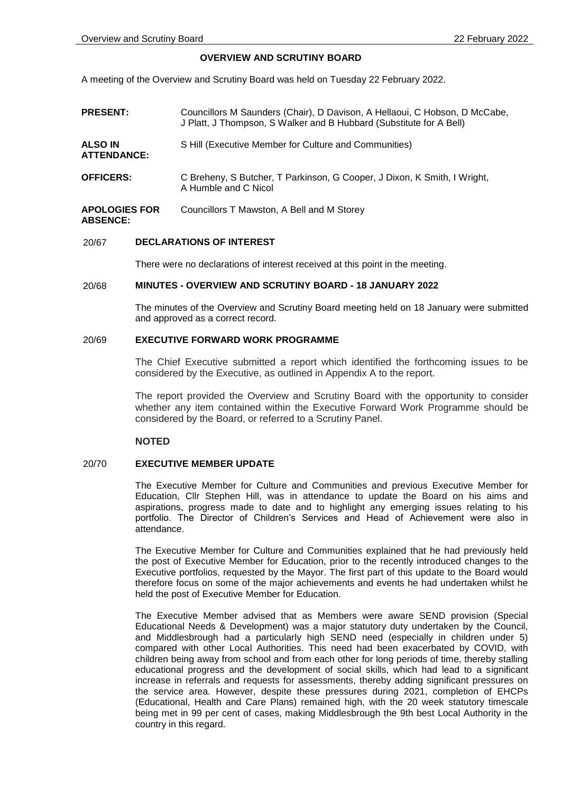# **OVERVIEW AND SCRUTINY BOARD**

A meeting of the Overview and Scrutiny Board was held on Tuesday 22 February 2022.

| <b>PRESENT:</b>                         | Councillors M Saunders (Chair), D Davison, A Hellaoui, C Hobson, D McCabe,<br>J Platt, J Thompson, S Walker and B Hubbard (Substitute for A Bell) |
|-----------------------------------------|---------------------------------------------------------------------------------------------------------------------------------------------------|
| ALSO IN<br><b>ATTENDANCE:</b>           | S Hill (Executive Member for Culture and Communities)                                                                                             |
| <b>OFFICERS:</b>                        | C Breheny, S Butcher, T Parkinson, G Cooper, J Dixon, K Smith, I Wright,<br>A Humble and C Nicol                                                  |
| <b>APOLOGIES FOR</b><br><b>ABSENCE:</b> | Councillors T Mawston, A Bell and M Storey                                                                                                        |

## 20/67 **DECLARATIONS OF INTEREST**

There were no declarations of interest received at this point in the meeting.

#### 20/68 **MINUTES - OVERVIEW AND SCRUTINY BOARD - 18 JANUARY 2022**

The minutes of the Overview and Scrutiny Board meeting held on 18 January were submitted and approved as a correct record.

# 20/69 **EXECUTIVE FORWARD WORK PROGRAMME**

The Chief Executive submitted a report which identified the forthcoming issues to be considered by the Executive, as outlined in Appendix A to the report.

The report provided the Overview and Scrutiny Board with the opportunity to consider whether any item contained within the Executive Forward Work Programme should be considered by the Board, or referred to a Scrutiny Panel.

## **NOTED**

#### 20/70 **EXECUTIVE MEMBER UPDATE**

The Executive Member for Culture and Communities and previous Executive Member for Education, Cllr Stephen Hill, was in attendance to update the Board on his aims and aspirations, progress made to date and to highlight any emerging issues relating to his portfolio. The Director of Children's Services and Head of Achievement were also in attendance.

The Executive Member for Culture and Communities explained that he had previously held the post of Executive Member for Education, prior to the recently introduced changes to the Executive portfolios, requested by the Mayor. The first part of this update to the Board would therefore focus on some of the major achievements and events he had undertaken whilst he held the post of Executive Member for Education.

The Executive Member advised that as Members were aware SEND provision (Special Educational Needs & Development) was a major statutory duty undertaken by the Council, and Middlesbrough had a particularly high SEND need (especially in children under 5) compared with other Local Authorities. This need had been exacerbated by COVID, with children being away from school and from each other for long periods of time, thereby stalling educational progress and the development of social skills, which had lead to a significant increase in referrals and requests for assessments, thereby adding significant pressures on the service area. However, despite these pressures during 2021, completion of EHCPs (Educational, Health and Care Plans) remained high, with the 20 week statutory timescale being met in 99 per cent of cases, making Middlesbrough the 9th best Local Authority in the country in this regard.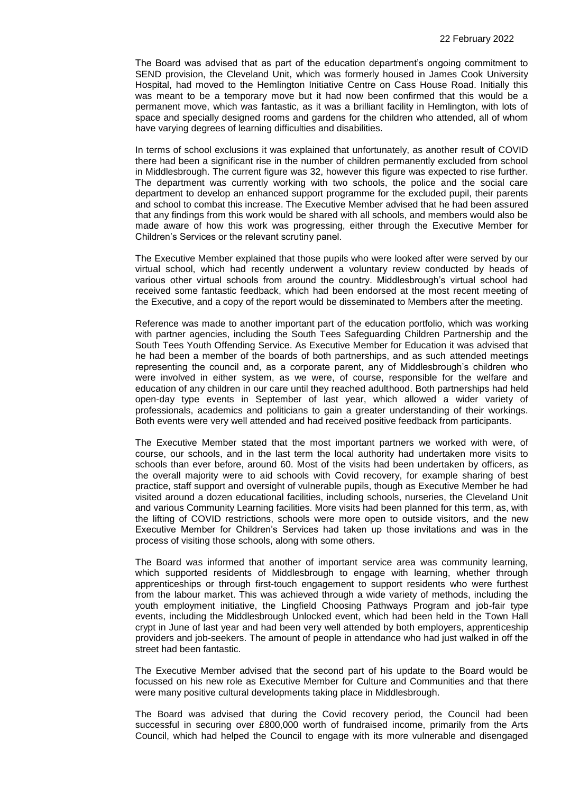The Board was advised that as part of the education department's ongoing commitment to SEND provision, the Cleveland Unit, which was formerly housed in James Cook University Hospital, had moved to the Hemlington Initiative Centre on Cass House Road. Initially this was meant to be a temporary move but it had now been confirmed that this would be a permanent move, which was fantastic, as it was a brilliant facility in Hemlington, with lots of space and specially designed rooms and gardens for the children who attended, all of whom have varying degrees of learning difficulties and disabilities.

In terms of school exclusions it was explained that unfortunately, as another result of COVID there had been a significant rise in the number of children permanently excluded from school in Middlesbrough. The current figure was 32, however this figure was expected to rise further. The department was currently working with two schools, the police and the social care department to develop an enhanced support programme for the excluded pupil, their parents and school to combat this increase. The Executive Member advised that he had been assured that any findings from this work would be shared with all schools, and members would also be made aware of how this work was progressing, either through the Executive Member for Children's Services or the relevant scrutiny panel.

The Executive Member explained that those pupils who were looked after were served by our virtual school, which had recently underwent a voluntary review conducted by heads of various other virtual schools from around the country. Middlesbrough's virtual school had received some fantastic feedback, which had been endorsed at the most recent meeting of the Executive, and a copy of the report would be disseminated to Members after the meeting.

Reference was made to another important part of the education portfolio, which was working with partner agencies, including the South Tees Safeguarding Children Partnership and the South Tees Youth Offending Service. As Executive Member for Education it was advised that he had been a member of the boards of both partnerships, and as such attended meetings representing the council and, as a corporate parent, any of Middlesbrough's children who were involved in either system, as we were, of course, responsible for the welfare and education of any children in our care until they reached adulthood. Both partnerships had held open-day type events in September of last year, which allowed a wider variety of professionals, academics and politicians to gain a greater understanding of their workings. Both events were very well attended and had received positive feedback from participants.

The Executive Member stated that the most important partners we worked with were, of course, our schools, and in the last term the local authority had undertaken more visits to schools than ever before, around 60. Most of the visits had been undertaken by officers, as the overall majority were to aid schools with Covid recovery, for example sharing of best practice, staff support and oversight of vulnerable pupils, though as Executive Member he had visited around a dozen educational facilities, including schools, nurseries, the Cleveland Unit and various Community Learning facilities. More visits had been planned for this term, as, with the lifting of COVID restrictions, schools were more open to outside visitors, and the new Executive Member for Children's Services had taken up those invitations and was in the process of visiting those schools, along with some others.

The Board was informed that another of important service area was community learning, which supported residents of Middlesbrough to engage with learning, whether through apprenticeships or through first-touch engagement to support residents who were furthest from the labour market. This was achieved through a wide variety of methods, including the youth employment initiative, the Lingfield Choosing Pathways Program and job-fair type events, including the Middlesbrough Unlocked event, which had been held in the Town Hall crypt in June of last year and had been very well attended by both employers, apprenticeship providers and job-seekers. The amount of people in attendance who had just walked in off the street had been fantastic.

The Executive Member advised that the second part of his update to the Board would be focussed on his new role as Executive Member for Culture and Communities and that there were many positive cultural developments taking place in Middlesbrough.

The Board was advised that during the Covid recovery period, the Council had been successful in securing over £800,000 worth of fundraised income, primarily from the Arts Council, which had helped the Council to engage with its more vulnerable and disengaged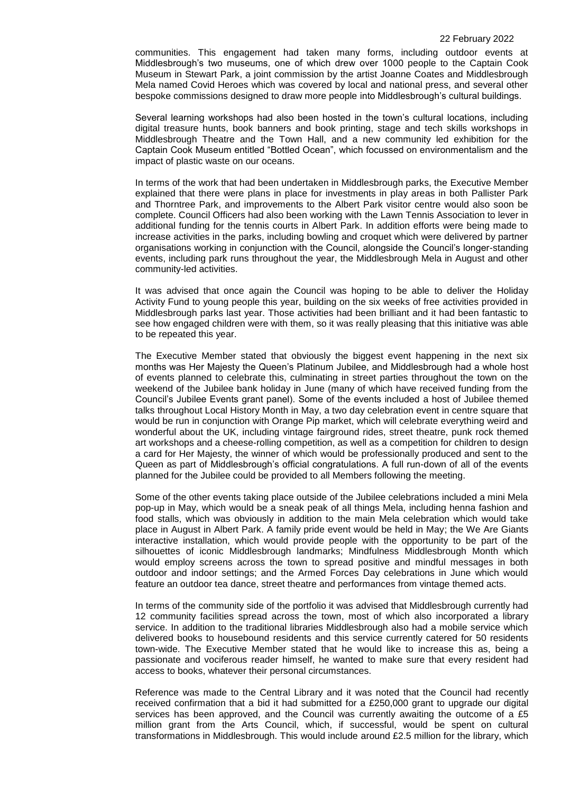communities. This engagement had taken many forms, including outdoor events at Middlesbrough's two museums, one of which drew over 1000 people to the Captain Cook Museum in Stewart Park, a joint commission by the artist Joanne Coates and Middlesbrough Mela named Covid Heroes which was covered by local and national press, and several other bespoke commissions designed to draw more people into Middlesbrough's cultural buildings.

Several learning workshops had also been hosted in the town's cultural locations, including digital treasure hunts, book banners and book printing, stage and tech skills workshops in Middlesbrough Theatre and the Town Hall, and a new community led exhibition for the Captain Cook Museum entitled "Bottled Ocean", which focussed on environmentalism and the impact of plastic waste on our oceans.

In terms of the work that had been undertaken in Middlesbrough parks, the Executive Member explained that there were plans in place for investments in play areas in both Pallister Park and Thorntree Park, and improvements to the Albert Park visitor centre would also soon be complete. Council Officers had also been working with the Lawn Tennis Association to lever in additional funding for the tennis courts in Albert Park. In addition efforts were being made to increase activities in the parks, including bowling and croquet which were delivered by partner organisations working in conjunction with the Council, alongside the Council's longer-standing events, including park runs throughout the year, the Middlesbrough Mela in August and other community-led activities.

It was advised that once again the Council was hoping to be able to deliver the Holiday Activity Fund to young people this year, building on the six weeks of free activities provided in Middlesbrough parks last year. Those activities had been brilliant and it had been fantastic to see how engaged children were with them, so it was really pleasing that this initiative was able to be repeated this year.

The Executive Member stated that obviously the biggest event happening in the next six months was Her Majesty the Queen's Platinum Jubilee, and Middlesbrough had a whole host of events planned to celebrate this, culminating in street parties throughout the town on the weekend of the Jubilee bank holiday in June (many of which have received funding from the Council's Jubilee Events grant panel). Some of the events included a host of Jubilee themed talks throughout Local History Month in May, a two day celebration event in centre square that would be run in conjunction with Orange Pip market, which will celebrate everything weird and wonderful about the UK, including vintage fairground rides, street theatre, punk rock themed art workshops and a cheese-rolling competition, as well as a competition for children to design a card for Her Majesty, the winner of which would be professionally produced and sent to the Queen as part of Middlesbrough's official congratulations. A full run-down of all of the events planned for the Jubilee could be provided to all Members following the meeting.

Some of the other events taking place outside of the Jubilee celebrations included a mini Mela pop-up in May, which would be a sneak peak of all things Mela, including henna fashion and food stalls, which was obviously in addition to the main Mela celebration which would take place in August in Albert Park. A family pride event would be held in May; the We Are Giants interactive installation, which would provide people with the opportunity to be part of the silhouettes of iconic Middlesbrough landmarks; Mindfulness Middlesbrough Month which would employ screens across the town to spread positive and mindful messages in both outdoor and indoor settings; and the Armed Forces Day celebrations in June which would feature an outdoor tea dance, street theatre and performances from vintage themed acts.

In terms of the community side of the portfolio it was advised that Middlesbrough currently had 12 community facilities spread across the town, most of which also incorporated a library service. In addition to the traditional libraries Middlesbrough also had a mobile service which delivered books to housebound residents and this service currently catered for 50 residents town-wide. The Executive Member stated that he would like to increase this as, being a passionate and vociferous reader himself, he wanted to make sure that every resident had access to books, whatever their personal circumstances.

Reference was made to the Central Library and it was noted that the Council had recently received confirmation that a bid it had submitted for a £250,000 grant to upgrade our digital services has been approved, and the Council was currently awaiting the outcome of a £5 million grant from the Arts Council, which, if successful, would be spent on cultural transformations in Middlesbrough. This would include around £2.5 million for the library, which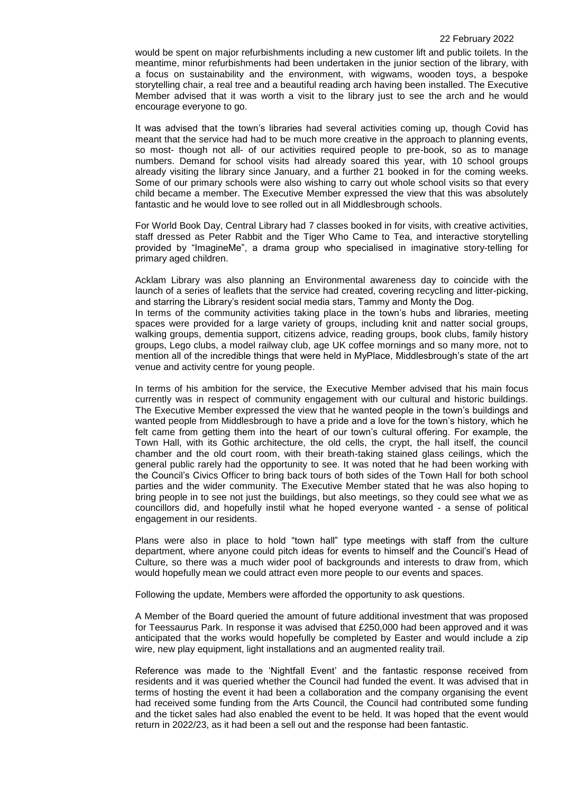would be spent on major refurbishments including a new customer lift and public toilets. In the meantime, minor refurbishments had been undertaken in the junior section of the library, with a focus on sustainability and the environment, with wigwams, wooden toys, a bespoke storytelling chair, a real tree and a beautiful reading arch having been installed. The Executive Member advised that it was worth a visit to the library just to see the arch and he would encourage everyone to go.

It was advised that the town's libraries had several activities coming up, though Covid has meant that the service had had to be much more creative in the approach to planning events, so most- though not all- of our activities required people to pre-book, so as to manage numbers. Demand for school visits had already soared this year, with 10 school groups already visiting the library since January, and a further 21 booked in for the coming weeks. Some of our primary schools were also wishing to carry out whole school visits so that every child became a member. The Executive Member expressed the view that this was absolutely fantastic and he would love to see rolled out in all Middlesbrough schools.

For World Book Day, Central Library had 7 classes booked in for visits, with creative activities, staff dressed as Peter Rabbit and the Tiger Who Came to Tea, and interactive storytelling provided by "ImagineMe", a drama group who specialised in imaginative story-telling for primary aged children.

Acklam Library was also planning an Environmental awareness day to coincide with the launch of a series of leaflets that the service had created, covering recycling and litter-picking, and starring the Library's resident social media stars, Tammy and Monty the Dog. In terms of the community activities taking place in the town's hubs and libraries, meeting spaces were provided for a large variety of groups, including knit and natter social groups, walking groups, dementia support, citizens advice, reading groups, book clubs, family history groups, Lego clubs, a model railway club, age UK coffee mornings and so many more, not to mention all of the incredible things that were held in MyPlace, Middlesbrough's state of the art venue and activity centre for young people.

In terms of his ambition for the service, the Executive Member advised that his main focus currently was in respect of community engagement with our cultural and historic buildings. The Executive Member expressed the view that he wanted people in the town's buildings and wanted people from Middlesbrough to have a pride and a love for the town's history, which he felt came from getting them into the heart of our town's cultural offering. For example, the Town Hall, with its Gothic architecture, the old cells, the crypt, the hall itself, the council chamber and the old court room, with their breath-taking stained glass ceilings, which the general public rarely had the opportunity to see. It was noted that he had been working with the Council's Civics Officer to bring back tours of both sides of the Town Hall for both school parties and the wider community. The Executive Member stated that he was also hoping to bring people in to see not just the buildings, but also meetings, so they could see what we as councillors did, and hopefully instil what he hoped everyone wanted - a sense of political engagement in our residents.

Plans were also in place to hold "town hall" type meetings with staff from the culture department, where anyone could pitch ideas for events to himself and the Council's Head of Culture, so there was a much wider pool of backgrounds and interests to draw from, which would hopefully mean we could attract even more people to our events and spaces.

Following the update, Members were afforded the opportunity to ask questions.

A Member of the Board queried the amount of future additional investment that was proposed for Teessaurus Park. In response it was advised that £250,000 had been approved and it was anticipated that the works would hopefully be completed by Easter and would include a zip wire, new play equipment, light installations and an augmented reality trail.

Reference was made to the 'Nightfall Event' and the fantastic response received from residents and it was queried whether the Council had funded the event. It was advised that in terms of hosting the event it had been a collaboration and the company organising the event had received some funding from the Arts Council, the Council had contributed some funding and the ticket sales had also enabled the event to be held. It was hoped that the event would return in 2022/23, as it had been a sell out and the response had been fantastic.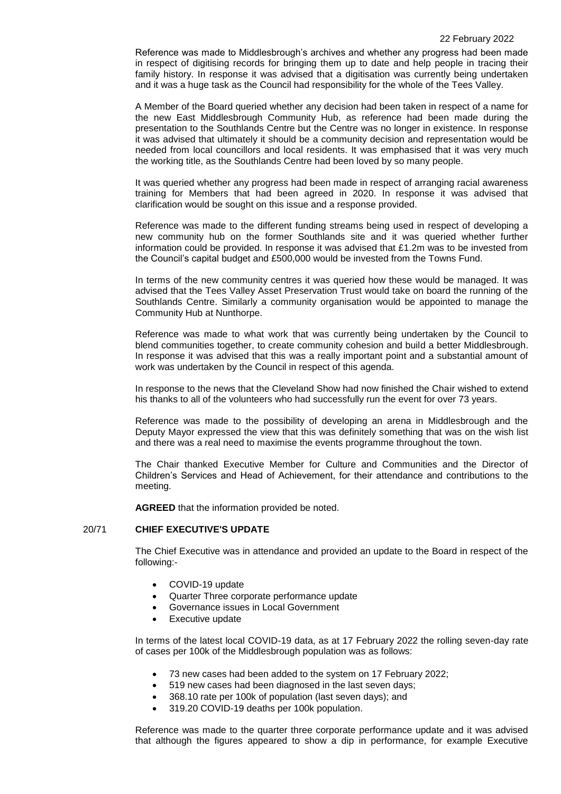Reference was made to Middlesbrough's archives and whether any progress had been made in respect of digitising records for bringing them up to date and help people in tracing their family history. In response it was advised that a digitisation was currently being undertaken and it was a huge task as the Council had responsibility for the whole of the Tees Valley.

A Member of the Board queried whether any decision had been taken in respect of a name for the new East Middlesbrough Community Hub, as reference had been made during the presentation to the Southlands Centre but the Centre was no longer in existence. In response it was advised that ultimately it should be a community decision and representation would be needed from local councillors and local residents. It was emphasised that it was very much the working title, as the Southlands Centre had been loved by so many people.

It was queried whether any progress had been made in respect of arranging racial awareness training for Members that had been agreed in 2020. In response it was advised that clarification would be sought on this issue and a response provided.

Reference was made to the different funding streams being used in respect of developing a new community hub on the former Southlands site and it was queried whether further information could be provided. In response it was advised that £1.2m was to be invested from the Council's capital budget and £500,000 would be invested from the Towns Fund.

In terms of the new community centres it was queried how these would be managed. It was advised that the Tees Valley Asset Preservation Trust would take on board the running of the Southlands Centre. Similarly a community organisation would be appointed to manage the Community Hub at Nunthorpe.

Reference was made to what work that was currently being undertaken by the Council to blend communities together, to create community cohesion and build a better Middlesbrough. In response it was advised that this was a really important point and a substantial amount of work was undertaken by the Council in respect of this agenda.

In response to the news that the Cleveland Show had now finished the Chair wished to extend his thanks to all of the volunteers who had successfully run the event for over 73 years.

Reference was made to the possibility of developing an arena in Middlesbrough and the Deputy Mayor expressed the view that this was definitely something that was on the wish list and there was a real need to maximise the events programme throughout the town.

The Chair thanked Executive Member for Culture and Communities and the Director of Children's Services and Head of Achievement, for their attendance and contributions to the meeting.

**AGREED** that the information provided be noted.

## 20/71 **CHIEF EXECUTIVE'S UPDATE**

The Chief Executive was in attendance and provided an update to the Board in respect of the following:-

- COVID-19 update
- Quarter Three corporate performance update
- Governance issues in Local Government
- Executive update

In terms of the latest local COVID-19 data, as at 17 February 2022 the rolling seven-day rate of cases per 100k of the Middlesbrough population was as follows:

- 73 new cases had been added to the system on 17 February 2022;
- 519 new cases had been diagnosed in the last seven days;
- 368.10 rate per 100k of population (last seven days); and
- 319.20 COVID-19 deaths per 100k population.

Reference was made to the quarter three corporate performance update and it was advised that although the figures appeared to show a dip in performance, for example Executive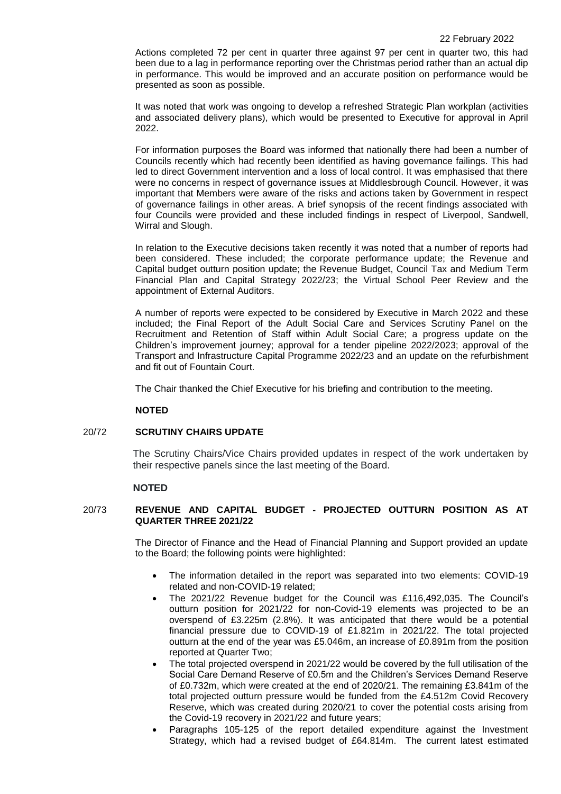Actions completed 72 per cent in quarter three against 97 per cent in quarter two, this had been due to a lag in performance reporting over the Christmas period rather than an actual dip in performance. This would be improved and an accurate position on performance would be presented as soon as possible.

It was noted that work was ongoing to develop a refreshed Strategic Plan workplan (activities and associated delivery plans), which would be presented to Executive for approval in April 2022.

For information purposes the Board was informed that nationally there had been a number of Councils recently which had recently been identified as having governance failings. This had led to direct Government intervention and a loss of local control. It was emphasised that there were no concerns in respect of governance issues at Middlesbrough Council. However, it was important that Members were aware of the risks and actions taken by Government in respect of governance failings in other areas. A brief synopsis of the recent findings associated with four Councils were provided and these included findings in respect of Liverpool, Sandwell, Wirral and Slough.

In relation to the Executive decisions taken recently it was noted that a number of reports had been considered. These included; the corporate performance update; the Revenue and Capital budget outturn position update; the Revenue Budget, Council Tax and Medium Term Financial Plan and Capital Strategy 2022/23; the Virtual School Peer Review and the appointment of External Auditors.

A number of reports were expected to be considered by Executive in March 2022 and these included; the Final Report of the Adult Social Care and Services Scrutiny Panel on the Recruitment and Retention of Staff within Adult Social Care; a progress update on the Children's improvement journey; approval for a tender pipeline 2022/2023; approval of the Transport and Infrastructure Capital Programme 2022/23 and an update on the refurbishment and fit out of Fountain Court.

The Chair thanked the Chief Executive for his briefing and contribution to the meeting.

## **NOTED**

#### 20/72 **SCRUTINY CHAIRS UPDATE**

The Scrutiny Chairs/Vice Chairs provided updates in respect of the work undertaken by their respective panels since the last meeting of the Board.

## **NOTED**

## 20/73 **REVENUE AND CAPITAL BUDGET - PROJECTED OUTTURN POSITION AS AT QUARTER THREE 2021/22**

The Director of Finance and the Head of Financial Planning and Support provided an update to the Board; the following points were highlighted:

- The information detailed in the report was separated into two elements: COVID-19 related and non-COVID-19 related;
- The 2021/22 Revenue budget for the Council was £116,492,035. The Council's outturn position for 2021/22 for non-Covid-19 elements was projected to be an overspend of £3.225m (2.8%). It was anticipated that there would be a potential financial pressure due to COVID-19 of £1.821m in 2021/22. The total projected outturn at the end of the year was £5.046m, an increase of £0.891m from the position reported at Quarter Two;
- The total projected overspend in 2021/22 would be covered by the full utilisation of the Social Care Demand Reserve of £0.5m and the Children's Services Demand Reserve of £0.732m, which were created at the end of 2020/21. The remaining £3.841m of the total projected outturn pressure would be funded from the £4.512m Covid Recovery Reserve, which was created during 2020/21 to cover the potential costs arising from the Covid-19 recovery in 2021/22 and future years;
- Paragraphs 105-125 of the report detailed expenditure against the Investment Strategy, which had a revised budget of £64.814m. The current latest estimated